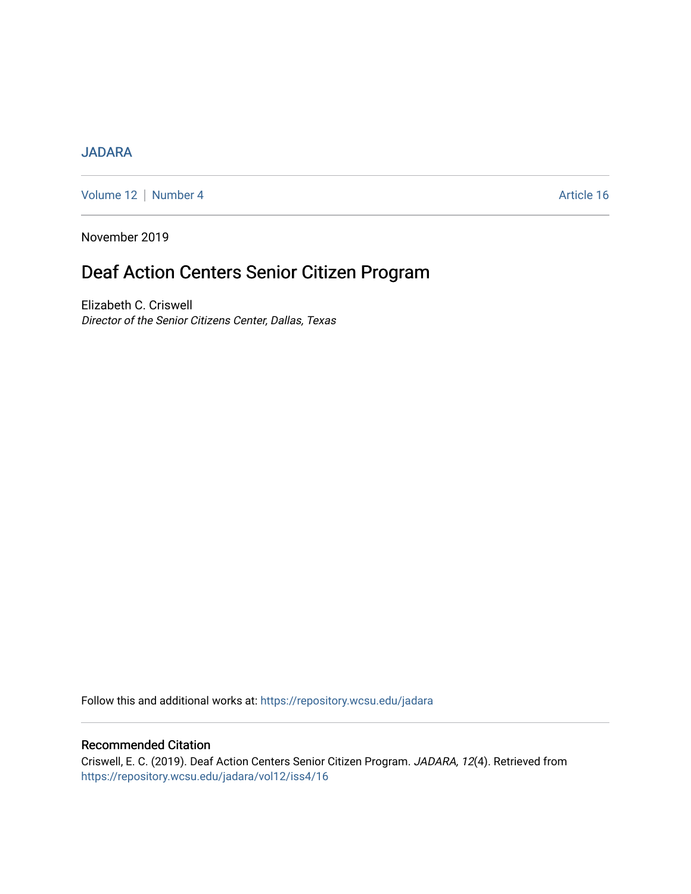# [JADARA](https://repository.wcsu.edu/jadara)

[Volume 12](https://repository.wcsu.edu/jadara/vol12) | [Number 4](https://repository.wcsu.edu/jadara/vol12/iss4) Article 16

November 2019

# Deaf Action Centers Senior Citizen Program

Elizabeth C. Criswell Director of the Senior Citizens Center, Dallas, Texas

Follow this and additional works at: [https://repository.wcsu.edu/jadara](https://repository.wcsu.edu/jadara?utm_source=repository.wcsu.edu%2Fjadara%2Fvol12%2Fiss4%2F16&utm_medium=PDF&utm_campaign=PDFCoverPages)

## Recommended Citation

Criswell, E. C. (2019). Deaf Action Centers Senior Citizen Program. JADARA, 12(4). Retrieved from [https://repository.wcsu.edu/jadara/vol12/iss4/16](https://repository.wcsu.edu/jadara/vol12/iss4/16?utm_source=repository.wcsu.edu%2Fjadara%2Fvol12%2Fiss4%2F16&utm_medium=PDF&utm_campaign=PDFCoverPages)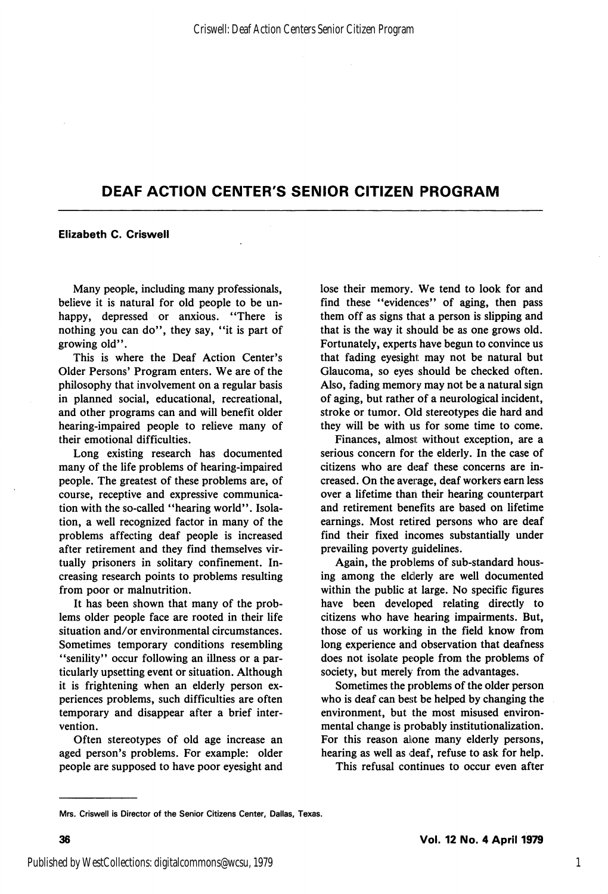#### Elizabeth C. Criswell

Many people, including many professionals, believe it is natural for old people to be un happy, depressed or anxious. "There is nothing you can do", they say, "it is part of growing old".

This is where the Deaf Action Center's Older Persons' Program enters. We are of the philosophy that involvement on a regular basis in planned social, educational, recreational, and other programs can and will benefit older hearing-impaired people to relieve many of their emotional difficulties.

Long existing research has documented many of the life problems of hearing-impaired people. The greatest of these problems are, of course, receptive and expressive communica tion with the so-called "hearing world". Isola tion, a well recognized factor in many of the problems affecting deaf people is increased after retirement and they find themselves vir tually prisoners in solitary confinement. In creasing research points to problems resulting from poor or malnutrition.

It has been shown that many of the prob lems older people face are rooted in their life situation and/or environmental circumstances. Sometimes temporary conditions resembling "senility" occur following an illness or a particularly upsetting event or situation. Although it is frightening when an elderly person ex periences problems, such difficulties are often temporary and disappear after a brief inter vention.

Often stereotypes of old age increase an aged person's problems. For example: older people are supposed to have poor eyesight and lose their memory. We tend to look for and find these "evidences" of aging, then pass them off as signs that a person is slipping and that is the way it should be as one grows old. Fortunately, experts have begun to convince us that fading eyesight may not be natural but Glaucoma, so eyes should be checked often. Also, fading memory may not be a natural sign of aging, but rather of a neurological incident, stroke or tumor. Old stereotypes die hard and they will be with us for some time to come.

Finances, almost: without exception, are a serious concern for the elderly. In the case of citizens who are deaf these concerns are in creased. On the average, deaf workers earn less over a lifetime than their hearing counterpart and retirement benefits are based on lifetime earnings. Most retired persons who are deaf find their fixed incomes substantially under prevailing poverty guidelines.

Again, the problems of sub-standard hous ing among the elderly are well documented within the public at large. No specific figures have been developed relating directly to citizens who have hearing impairments. But, those of us working in the field know from long experience and observation that deafness does not isolate people from the problems of society, but merely from the advantages.

Sometimes the problems of the older person who is deaf can best be helped by changing the environment, but the most misused environ mental change is probably institutionalization. For this reason alone many elderly persons, hearing as well as deaf, refuse to ask for help.

This refusal continues to occur even after

Mrs. Criswell is Director of the Senior Citizens Center, Dallas, Texas.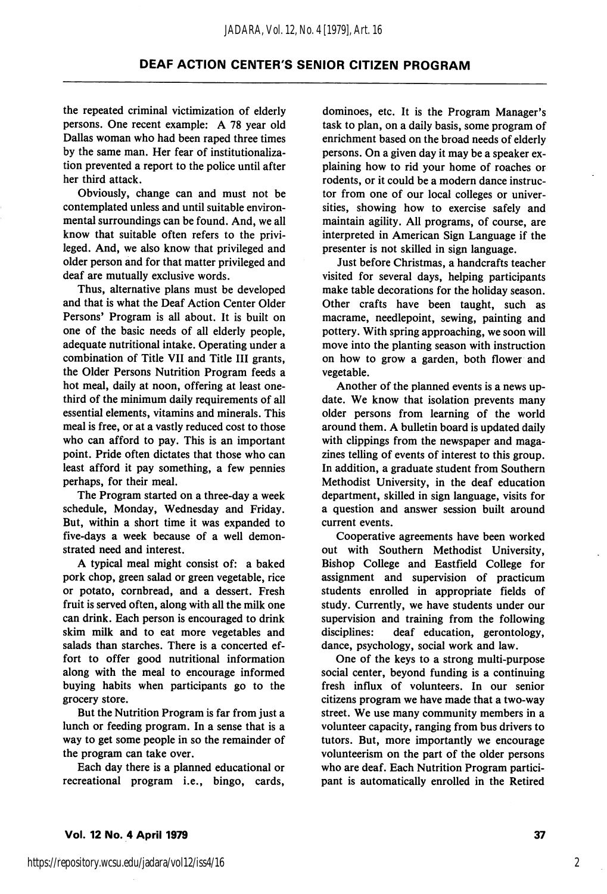the repeated criminal victimization of elderly persons. One recent example: A 78 year old Dallas woman who had been raped three times by the same man. Her fear of institutionalization prevented a report to the police until after her third attack.

Obviously, change can and must not be contemplated unless and until suitable environ mental surroundings can be found. And, we all know that suitable often refers to the privi leged. And, we also know that privileged and older person and for that matter privileged and deaf are mutually exclusive words.

Thus, alternative plans must be developed and that is what the Deaf Action Center Older Persons' Program is all about. It is built on one of the basic needs of all elderly people, adequate nutritional intake. Operating under a combination of Title VII and Title III grants, the Older Persons Nutrition Program feeds a hot meal, daily at noon, offering at least onethird of the minimum daily requirements of all essential elements, vitamins and minerals. This meal is free, or at a vastly reduced cost to those who can afford to pay. This is an important point. Pride often dictates that those who can least afford it pay something, a few pennies perhaps, for their meal.

The Program started on a three-day a week schedule, Monday, Wednesday and Friday. But, within a short time it was expanded to five-days a week because of a well demon strated need and interest.

A typical meal might consist of: a baked pork chop, green salad or green vegetable, rice or potato, cornbread, and a dessert. Fresh fruit is served often, along with all the milk one can drink. Each person is encouraged to drink skim milk and to eat more vegetables and salads than starches. There is a concerted ef fort to offer good nutritional information along with the meal to encourage informed buying habits when participants go to the grocery store.

But the Nutrition Program is far from just a lunch or feeding program. In a sense that is a way to get some people in so the remainder of the program can take over.

Each day there is a planned educational or recreational program i.e., bingo, cards.

dominoes, etc. It is the Program Manager's task to plan, on a daily basis, some program of enrichment based on the broad needs of elderly persons. On a given day it may be a speaker ex plaining how to rid your home of roaches or rodents, or it could be a modern dance instruc tor from one of our local colleges or univer sities, showing how to exercise safely and maintain agility. All programs, of course, are interpreted in American Sign Language if the presenter is not skilled in sign language.

Just before Christmas, a handcrafts teacher visited for several days, helping participants make table decorations for the holiday season. Other crafts have been taught, such as macrame, needlepoint, sewing, painting and pottery. With spring approaching, we soon will move into the planting season with instruction on how to grow a garden, both flower and vegetable.

Another of the planned events is a news up date. We know that isolation prevents many older persons from learning of the world around them. A bulletin board is updated daily with clippings from the newspaper and magazines telling of events of interest to this group. In addition, a graduate student from Southern Methodist University, in the deaf education department, skilled in sign language, visits for a question and answer session built around current events.

Cooperative agreements have been worked out with Southern Methodist University, Bishop College and Eastfield College for assignment and supervision of practicum students enrolled in appropriate fields of study. Currently, we have students under our supervision and training from the following disciplines: deaf education, gerontology, dance, psychology, social work and law.

One of the keys to a strong multi-purpose social center, beyond funding is a continuing fresh influx of volunteers. In our senior citizens program we have made that a two-way street. We use many community members in a volunteer capacity, ranging from bus drivers to tutors. But, more importantly we encourage volunteerism on the part of the older persons who are deaf. Each Nutrition Program partici pant is automatically enrolled in the Retired

2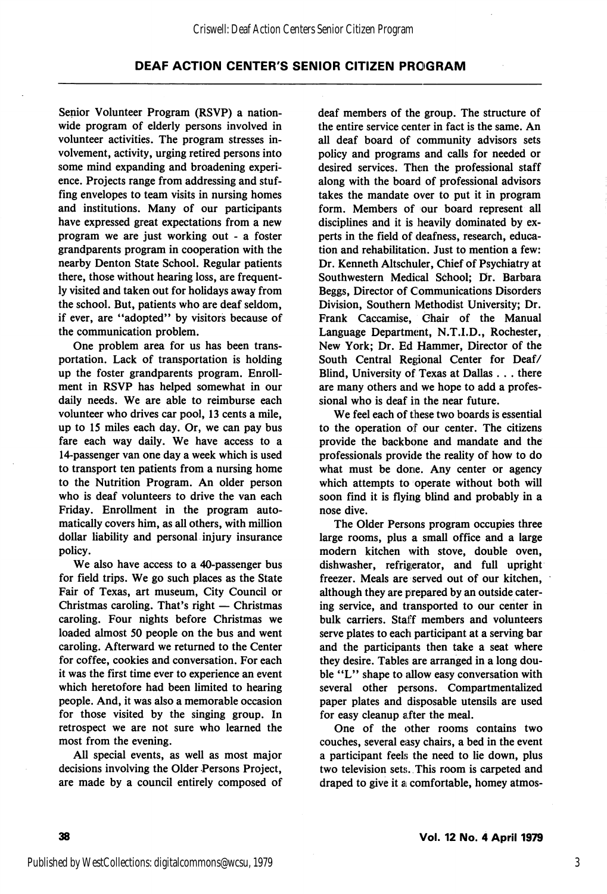Senior Volunteer Program (RSVP) a nation wide program of elderly persons involved in volunteer activities. The program stresses in volvement, activity, urging retired persons into some mind expanding and broadening experi ence. Projects range from addressing and stuf fing envelopes to team visits in nursing homes and institutions. Many of our participants have expressed great expectations from a new program we are just working out - a foster grandparents program in cooperation with the nearby Denton State School. Regular patients there, those without hearing loss, are frequent ly visited and taken out for holidays away from the school. But, patients who are deaf seldom, if ever, are "adopted" by visitors because of the communication problem.

One problem area for us has been trans portation. Lack of transportation is holding up the foster grandparents program. Enroll ment in RSVP has helped somewhat in our daily needs. We are able to reimburse each volunteer who drives car pool, 13 cents a mile, up to 15 miles each day. Or, we can pay bus fare each way daily. We have access to a 14-passenger van one day a week which is used to transport ten patients from a nursing home to the Nutrition Program. An older person who is deaf volunteers to drive the van each Friday. Enrollment in the program auto matically covers him, as all others, with million dollar liability and personal injury insurance policy.

We also have access to a 40-passenger bus for field trips. We go such places as the State Fair of Texas, art museum. City Council or Christmas caroling. That's right — Christmas caroling. Four nights before Christmas we loaded almost 50 people on the bus and went caroling. Afterward we returned to the Center for coffee, cookies and conversation. For each it was the first time ever to experience an event which heretofore had been limited to hearing people. And, it was also a memorable occasion for those visited by the singing group. In retrospect we are not sure who learned the most from the evening.

All special events, as well as most major decisions involving the Older Persons Project, are made by a council entirely composed of deaf members of the group. The structure of the entire service center in fact is the same. An all deaf board of community advisors sets policy and programs and calls for needed or desired services. Then the professional staff along with the board of professional advisors takes the mandate over to put it in program form. Members of our board represent all disciplines and it is heavily dominated by experts in the field of deafness, research, educa tion and rehabilitation. Just to mention a few: Dr. Kenneth Altschuler, Chief of Psychiatry at Southwestern Medical School; Dr. Barbara Beggs, Director of Communications Disorders Division, Southern Methodist University; Dr. Frank Caccamise, Chair of the Manual Language Department, N.T.I.D., Rochester, New York; Dr. Ed Hammer, Director of the South Central Regional Center for Deaf/ Blind, University of Texas at Dallas . . . there are many others and we hope to add a profes sional who is deaf in the near future.

We feel each of these two boards is essential to the operation of our center. The citizens provide the backbone and mandate and the professionals provide the reality of how to do what must be done. Any center or agency which attempts to operate without both will soon find it is flying blind and probably in a nose dive.

The Older Persons program occupies three large rooms, plus a small office and a large modern kitchen with stove, double oven, dishwasher, refrigerator, and full upright freezer. Meals are served out of our kitchen, although they are prepared by an outside cater ing service, and transported to our center in bulk carriers. Staff members and volunteers serve plates to each participant at a serving bar and the participants then take a seat where they desire. Tables are arranged in a long dou ble "L" shape to allow easy conversation with several other persons. Compartmentalized paper plates and disposable utensils are used for easy cleanup after the meal.

One of the other rooms contains two couches, several easy chairs, a bed in the event a participant feels the need to lie down, plus two television sets. This room is carpeted and draped to give it a comfortable, homey atmos-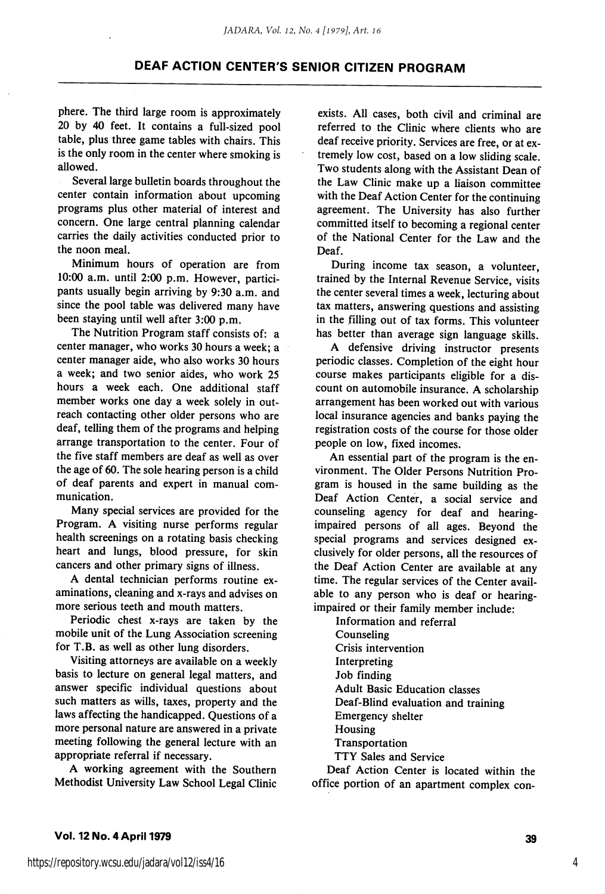phere. The third large room is approximately 20 by 40 feet. It contains a full-sized pool table, plus three game tables with chairs. This is the only room in the center where smoking is allowed.

Several large bulletin boards throughout the center contain information about upcoming programs plus other material of interest and concern. One large central planning calendar carries the daily activities conducted prior to the noon meal.

Minimum hours of operation are from 10:00 a.m. until 2:00 p.m. However, partici pants usually begin arriving by 9:30 a.m. and since the pool table was delivered many have been staying until well after 3:00 p.m.

The Nutrition Program staff consists of: a center manager, who works 30 hours a week; a center manager aide, who also works 30 hours a week; and two senior aides, who work 25 hours a week each. One additional staff member works one day a week solely in out reach contacting other older persons who are deaf, telling them of the programs and helping arrange transportation to the center. Four of the five staff members are deaf as well as over the age of 60. The sole hearing person is a child of deaf parents and expert in manual com munication.

Many special services are provided for the Program. A visiting nurse performs regular health screenings on a rotating basis checking heart and lungs, blood pressure, for skin cancers and other primary signs of illness.

A dental technician performs routine ex aminations, cleaning and x-rays and advises on more serious teeth and mouth matters.

Periodic chest x-rays are taken by the mobile unit of the Lung Association screening for T.B. as well as other lung disorders.

Visiting attorneys are available on a weekly basis to lecture on general legal matters, and answer specific individual questions about such matters as wills, taxes, property and the laws affecting the handicapped. Questions of a more personal nature are answered in a private meeting following the general lecture with an appropriate referral if necessary.

A working agreement with the Southern Methodist University Law School Legal Clinic

exists. All cases, both civil and criminal are referred to the Clinic where clients who are deaf receive priority. Services are free, or at ex tremely low cost, based on a low sliding scale. Two students along with the Assistant Dean of the Law Clinic make up a liaison committee with the Deaf Action Center for the continuing agreement. The University has also further committed itself to becoming a regional center of the National Center for the Law and the Deaf.

During income tax season, a volunteer, trained by the Internal Revenue Service, visits the center several times a week, lecturing about tax matters, answering questions and assisting in the filling out of tax forms. This volunteer has better than average sign language skills.

A defensive driving instructor presents periodic classes. Completion of the eight hour course makes participants eligible for a dis count on automobile insurance. A scholarship arrangement has been worked out with various local insurance agencies and banks paying the registration costs of the course for those older people on low, fixed incomes.

An essential part of the program is the en vironment. The Older Persons Nutrition Pro gram is housed in the same building as the Deaf Action Center, a social service and counseling agency for deaf and hearingimpaired persons of all ages. Beyond the special programs and services designed ex clusively for older persons, all the resources of the Deaf Action Center are available at any time. The regular services of the Center avail able to any person who is deaf or hearingimpaired or their family member include:

Information and referral Counseling Crisis intervention Interpreting Job finding Adult Basic Education classes Deaf-Blind evaluation and training Emergency shelter Housing Transportation TTY Sales and Service

Deaf Action Center is located within the office portion of an apartment complex con-

4